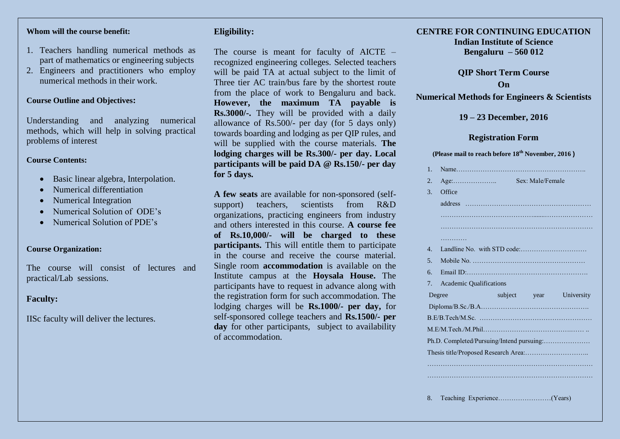#### **Whom will the course benefit:**

- 1. Teachers handling numerical methods as part of mathematics or engineering subjects
- 2. Engineers and practitioners who employ numerical methods in their work.

#### **Course Outline and Objectives:**

Understanding and analyzing numerical methods, which will help in solving practical problems of interest

#### **Course Contents:**

- Basic linear algebra, Interpolation.
- Numerical differentiation
- Numerical Integration
- Numerical Solution of ODE's
- Numerical Solution of PDE's

#### **Course Organization:**

The course will consist of lectures and practical/Lab sessions.

## **Faculty:**

IISc faculty will deliver the lectures.

## **Eligibility:**

The course is meant for faculty of AICTE – recognized engineering colleges. Selected teachers will be paid TA at actual subject to the limit of Three tier AC train/bus fare by the shortest route from the place of work to Bengaluru and back. **However, the maximum TA payable is Rs.3000/-.** They will be provided with a daily allowance of Rs.500/- per day (for 5 days only) towards boarding and lodging as per QIP rules, and will be supplied with the course materials. **The lodging charges will be Rs.300/- per day. Local participants will be paid DA @ Rs.150/- per day for 5 days.** 

**A few seats** are available for non-sponsored (selfsupport) teachers, scientists from R&D organizations, practicing engineers from industry and others interested in this course. **A course fee of Rs.10,000/- will be charged to these participants.** This will entitle them to participate in the course and receive the course material. Single room **accommodation** is available on the Institute campus at the **Hoysala House.** The participants have to request in advance along with the registration form for such accommodation. The lodging charges will be **Rs.1000/- per day,** for self-sponsored college teachers and **Rs.1500/- per**  day for other participants, subject to availability of accommodation.

#### **CENTRE FOR CONTINUING EDUCATION Indian Institute of Science**

**Bengaluru – 560 012**

**QIP Short Term Course On**

**Numerical Methods for Engineers & Scientists**

#### **19 – 23 December, 2016**

#### **Registration Form**

#### **(Please mail to reach before 18th November, 2016 )**

| $1_{-}$        |                                           |                  |                         |
|----------------|-------------------------------------------|------------------|-------------------------|
| 2.             | $Age: \dots \dots \dots \dots \dots$      | Sex: Male/Female |                         |
| 3.             | Office                                    |                  |                         |
|                |                                           |                  |                         |
|                |                                           |                  |                         |
|                |                                           |                  |                         |
|                | .                                         |                  |                         |
| $\mathbf{4}$ . |                                           |                  |                         |
| 5 <sub>1</sub> |                                           |                  |                         |
| 6.             |                                           |                  |                         |
| 7.             | <b>Academic Qualifications</b>            |                  |                         |
|                | Degree                                    |                  | subject year University |
|                |                                           |                  |                         |
|                |                                           |                  |                         |
|                |                                           |                  |                         |
|                | Ph.D. Completed/Pursuing/Intend pursuing: |                  |                         |
|                |                                           |                  |                         |
|                |                                           |                  |                         |
|                |                                           |                  |                         |
|                |                                           |                  |                         |

8. Teaching Experience……………………(Years)